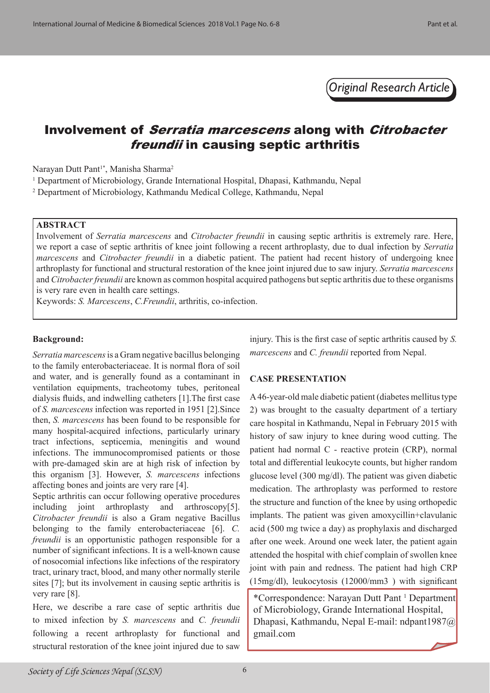*Original Research Article*

# Involvement of Serratia marcescens along with Citrobacter freundii in causing septic arthritis

Narayan Dutt Pant<sup>1\*</sup>, Manisha Sharma<sup>2</sup>

<sup>1</sup> Department of Microbiology, Grande International Hospital, Dhapasi, Kathmandu, Nepal

2 Department of Microbiology, Kathmandu Medical College, Kathmandu, Nepal

#### **ABSTRACT**

Involvement of *Serratia marcescens* and *Citrobacter freundii* in causing septic arthritis is extremely rare. Here, we report a case of septic arthritis of knee joint following a recent arthroplasty, due to dual infection by *Serratia marcescens* and *Citrobacter freundii* in a diabetic patient. The patient had recent history of undergoing knee arthroplasty for functional and structural restoration of the knee joint injured due to saw injury. *Serratia marcescens* and *Citrobacter freundii* are known as common hospital acquired pathogens but septic arthritis due to these organisms is very rare even in health care settings.

Keywords: *S. Marcescens*, *C.Freundii*, arthritis, co-infection.

### **Background:**

*Serratia marcescens* is a Gram negative bacillus belonging to the family enterobacteriaceae. It is normal flora of soil and water, and is generally found as a contaminant in ventilation equipments, tracheotomy tubes, peritoneal dialysis fluids, and indwelling catheters [1].The first case of *S. marcescens* infection was reported in 1951 [2].Since then, *S. marcescens* has been found to be responsible for many hospital-acquired infections, particularly urinary tract infections, septicemia, meningitis and wound infections. The immunocompromised patients or those with pre-damaged skin are at high risk of infection by this organism [3]. However, *S. marcescens* infections affecting bones and joints are very rare [4].

Septic arthritis can occur following operative procedures including joint arthroplasty and arthroscopy[5]. *Citrobacter freundii* is also a Gram negative Bacillus belonging to the family enterobacteriaceae [6]. *C. freundii* is an opportunistic pathogen responsible for a number of significant infections. It is a well-known cause of nosocomial infections like infections of the respiratory tract, urinary tract, blood, and many other normally sterile sites [7]; but its involvement in causing septic arthritis is very rare [8].

Here, we describe a rare case of septic arthritis due to mixed infection by *S. marcescens* and *C. freundii* following a recent arthroplasty for functional and structural restoration of the knee joint injured due to saw injury. This is the first case of septic arthritis caused by *S. marcescens* and *C. freundii* reported from Nepal.

### **CASE PRESENTATION**

A 46-year-old male diabetic patient (diabetes mellitus type 2) was brought to the casualty department of a tertiary care hospital in Kathmandu, Nepal in February 2015 with history of saw injury to knee during wood cutting. The patient had normal C - reactive protein (CRP), normal total and differential leukocyte counts, but higher random glucose level (300 mg/dl). The patient was given diabetic medication. The arthroplasty was performed to restore the structure and function of the knee by using orthopedic implants. The patient was given amoxycillin+clavulanic acid (500 mg twice a day) as prophylaxis and discharged after one week. Around one week later, the patient again attended the hospital with chief complain of swollen knee joint with pain and redness. The patient had high CRP (15mg/dl), leukocytosis (12000/mm3 ) with significant

\*Correspondence: Narayan Dutt Pant 1 Department of Microbiology, Grande International Hospital, Dhapasi, Kathmandu, Nepal E-mail: ndpant1987@ gmail.com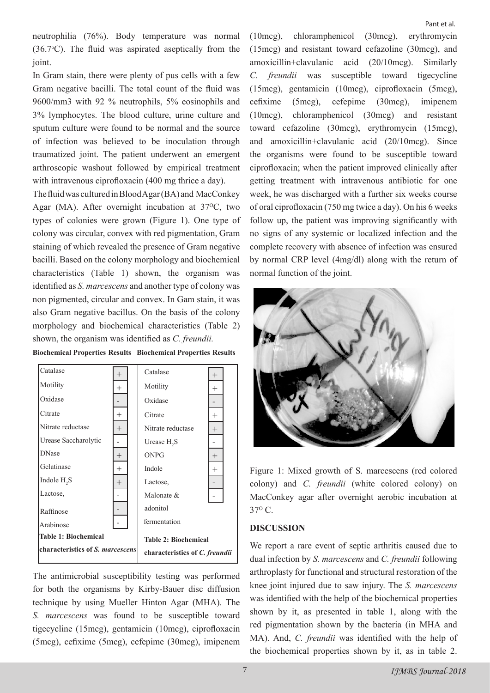Pant et al.

neutrophilia (76%). Body temperature was normal  $(36.7°C)$ . The fluid was aspirated aseptically from the joint.

In Gram stain, there were plenty of pus cells with a few Gram negative bacilli. The total count of the fluid was 9600/mm3 with 92 % neutrophils, 5% eosinophils and 3% lymphocytes. The blood culture, urine culture and sputum culture were found to be normal and the source of infection was believed to be inoculation through traumatized joint. The patient underwent an emergent arthroscopic washout followed by empirical treatment with intravenous ciprofloxacin (400 mg thrice a day).

The fluid was cultured in Blood Agar (BA) and MacConkey Agar (MA). After overnight incubation at  $37^{\circ}$ C, two types of colonies were grown (Figure 1). One type of colony was circular, convex with red pigmentation, Gram staining of which revealed the presence of Gram negative bacilli. Based on the colony morphology and biochemical characteristics (Table 1) shown, the organism was identified as *S. marcescens* and another type of colony was non pigmented, circular and convex. In Gam stain, it was also Gram negative bacillus. On the basis of the colony morphology and biochemical characteristics (Table 2) shown, the organism was identified as *C. freundii.*





The antimicrobial susceptibility testing was performed for both the organisms by Kirby-Bauer disc diffusion technique by using Mueller Hinton Agar (MHA). The *S. marcescens* was found to be susceptible toward tigecycline (15mcg), gentamicin (10mcg), ciprofloxacin (5mcg), cefixime (5mcg), cefepime (30mcg), imipenem (10mcg), chloramphenicol (30mcg), erythromycin (15mcg) and resistant toward cefazoline (30mcg), and amoxicillin+clavulanic acid (20/10mcg). Similarly *C. freundii* was susceptible toward tigecycline (15mcg), gentamicin (10mcg), ciprofloxacin (5mcg), cefixime (5mcg), cefepime (30mcg), imipenem (10mcg), chloramphenicol (30mcg) and resistant toward cefazoline (30mcg), erythromycin (15mcg), and amoxicillin+clavulanic acid (20/10mcg). Since the organisms were found to be susceptible toward ciprofloxacin; when the patient improved clinically after getting treatment with intravenous antibiotic for one week, he was discharged with a further six weeks course of oral ciprofloxacin (750 mg twice a day). On his 6 weeks follow up, the patient was improving significantly with no signs of any systemic or localized infection and the complete recovery with absence of infection was ensured by normal CRP level (4mg/dl) along with the return of normal function of the joint.



Figure 1: Mixed growth of S. marcescens (red colored colony) and *C. freundii* (white colored colony) on MacConkey agar after overnight aerobic incubation at  $37^{\circ}$  C.

### **DISCUSSION**

We report a rare event of septic arthritis caused due to dual infection by *S. marcescens* and *C. freundii* following arthroplasty for functional and structural restoration of the knee joint injured due to saw injury. The *S. marcescens* was identified with the help of the biochemical properties shown by it, as presented in table 1, along with the red pigmentation shown by the bacteria (in MHA and MA). And, *C. freundii* was identified with the help of the biochemical properties shown by it, as in table 2.